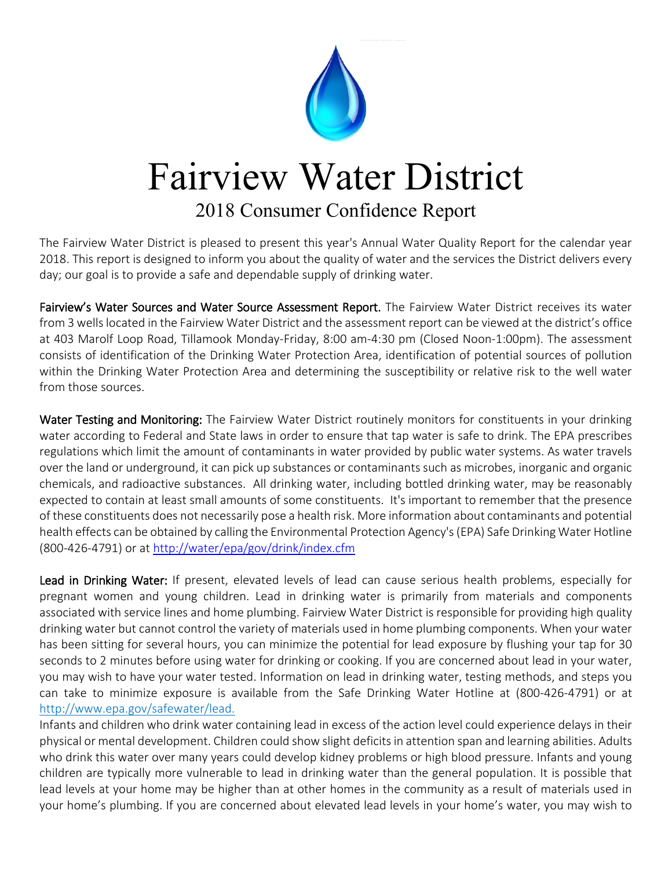

## Fairview Water District

## 2018 Consumer Confidence Report

The Fairview Water District is pleased to present this year's Annual Water Quality Report for the calendar year 2018. This report is designed to inform you about the quality of water and the services the District delivers every day; our goal is to provide a safe and dependable supply of drinking water.

Fairview's Water Sources and Water Source Assessment Report. The Fairview Water District receives its water from 3 wells located in the Fairview Water District and the assessment report can be viewed at the district's office at 403 Marolf Loop Road, Tillamook Monday-Friday, 8:00 am-4:30 pm (Closed Noon-1:00pm). The assessment consists of identification of the Drinking Water Protection Area, identification of potential sources of pollution within the Drinking Water Protection Area and determining the susceptibility or relative risk to the well water from those sources.

Water Testing and Monitoring: The Fairview Water District routinely monitors for constituents in your drinking water according to Federal and State laws in order to ensure that tap water is safe to drink. The EPA prescribes regulations which limit the amount of contaminants in water provided by public water systems. As water travels over the land or underground, it can pick up substances or contaminants such as microbes, inorganic and organic chemicals, and radioactive substances. All drinking water, including bottled drinking water, may be reasonably expected to contain at least small amounts of some constituents. It's important to remember that the presence of these constituents does not necessarily pose a health risk. More information about contaminants and potential health effects can be obtained by calling the Environmental Protection Agency's (EPA) Safe Drinking Water Hotline (800-426-4791) or at<http://water/epa/gov/drink/index.cfm>

Lead in Drinking Water: If present, elevated levels of lead can cause serious health problems, especially for pregnant women and young children. Lead in drinking water is primarily from materials and components associated with service lines and home plumbing. Fairview Water District is responsible for providing high quality drinking water but cannot control the variety of materials used in home plumbing components. When your water has been sitting for several hours, you can minimize the potential for lead exposure by flushing your tap for 30 seconds to 2 minutes before using water for drinking or cooking. If you are concerned about lead in your water, you may wish to have your water tested. Information on lead in drinking water, testing methods, and steps you can take to minimize exposure is available from the Safe Drinking Water Hotline at (800-426-4791) or at http://www.epa.gov/safewater/lead.

Infants and children who drink water containing lead in excess of the action level could experience delays in their physical or mental development. Children could show slight deficits in attention span and learning abilities. Adults who drink this water over many years could develop kidney problems or high blood pressure. Infants and young children are typically more vulnerable to lead in drinking water than the general population. It is possible that lead levels at your home may be higher than at other homes in the community as a result of materials used in your home's plumbing. If you are concerned about elevated lead levels in your home's water, you may wish to